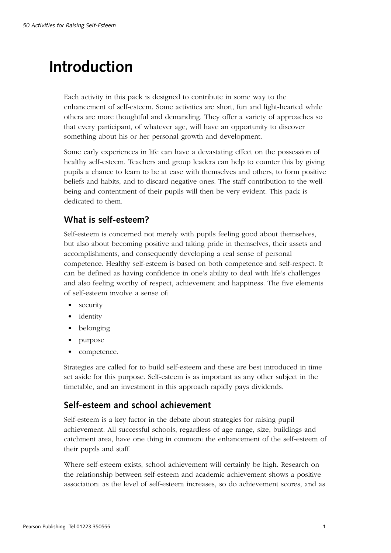# **Introduction**

Each activity in this pack is designed to contribute in some way to the enhancement of self-esteem. Some activities are short, fun and light-hearted while others are more thoughtful and demanding. They offer a variety of approaches so that every participant, of whatever age, will have an opportunity to discover something about his or her personal growth and development.

Some early experiences in life can have a devastating effect on the possession of healthy self-esteem. Teachers and group leaders can help to counter this by giving pupils a chance to learn to be at ease with themselves and others, to form positive beliefs and habits, and to discard negative ones. The staff contribution to the wellbeing and contentment of their pupils will then be very evident. This pack is dedicated to them.

## **What is self-esteem?**

Self-esteem is concerned not merely with pupils feeling good about themselves, but also about becoming positive and taking pride in themselves, their assets and accomplishments, and consequently developing a real sense of personal competence. Healthy self-esteem is based on both competence and self-respect. It can be defined as having confidence in one's ability to deal with life's challenges and also feeling worthy of respect, achievement and happiness. The five elements of self-esteem involve a sense of:

- security
- identity
- belonging
- purpose
- competence.

Strategies are called for to build self-esteem and these are best introduced in time set aside for this purpose. Self-esteem is as important as any other subject in the timetable, and an investment in this approach rapidly pays dividends.

# **Self-esteem and school achievement**

Self-esteem is a key factor in the debate about strategies for raising pupil achievement. All successful schools, regardless of age range, size, buildings and catchment area, have one thing in common: the enhancement of the self-esteem of their pupils and staff.

Where self-esteem exists, school achievement will certainly be high. Research on the relationship between self-esteem and academic achievement shows a positive association: as the level of self-esteem increases, so do achievement scores, and as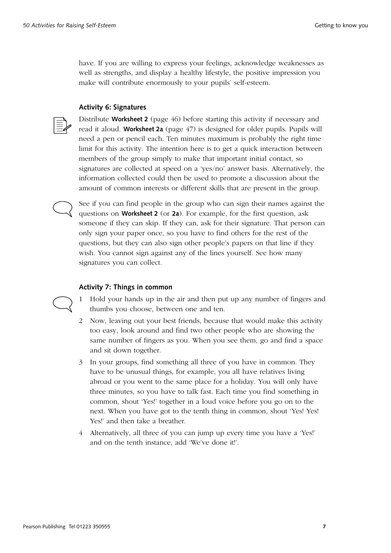have. If you are willing to express your feelings, acknowledge weaknesses as well as strengths, and display a healthy lifestyle, the positive impression you make will contribute enormously to your pupils' self-esteem.

### **Activity 6: Signatures**



Distribute **Worksheet 2** (page 46) before starting this activity if necessary and read it aloud. **Worksheet 2a** (page 47) is designed for older pupils. Pupils will need a pen or pencil each. Ten minutes maximum is probably the right time limit for this activity. The intention here is to get a quick interaction between members of the group simply to make that important initial contact, so signatures are collected at speed on a 'yes/no' answer basis. Alternatively, the information collected could then be used to promote a discussion about the amount of common interests or different skills that are present in the group.

See if you can find people in the group who can sign their names against the questions on **Worksheet 2** (or **2a**). For example, for the first question, ask someone if they can skip. If they can, ask for their signature. That person can only sign your paper once, so you have to find others for the rest of the questions, but they can also sign other people's papers on that line if they wish. You cannot sign against any of the lines yourself. See how many signatures you can collect.

#### **Activity 7: Things in common**

1 Hold your hands up in the air and then put up any number of fingers and thumbs you choose, between one and ten.

- 2 Now, leaving out your best friends, because that would make this activity too easy, look around and find two other people who are showing the same number of fingers as you. When you see them, go and find a space and sit down together.
- 3 In your groups, find something all three of you have in common. They have to be unusual things, for example, you all have relatives living abroad or you went to the same place for a holiday. You will only have three minutes, so you have to talk fast. Each time you find something in common, shout 'Yes!' together in a loud voice before you go on to the next. When you have got to the tenth thing in common, shout 'Yes! Yes! Yes!' and then take a breather.
- 4 Alternatively, all three of you can jump up every time you have a 'Yes!' and on the tenth instance, add 'We've done it!'.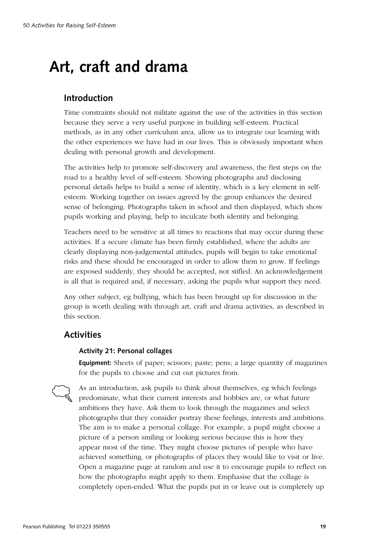# **Art, craft and drama**

## **Introduction**

Time constraints should not militate against the use of the activities in this section because they serve a very useful purpose in building self-esteem. Practical methods, as in any other curriculum area, allow us to integrate our learning with the other experiences we have had in our lives. This is obviously important when dealing with personal growth and development.

The activities help to promote self-discovery and awareness, the first steps on the road to a healthy level of self-esteem. Showing photographs and disclosing personal details helps to build a sense of identity, which is a key element in selfesteem. Working together on issues agreed by the group enhances the desired sense of belonging. Photographs taken in school and then displayed, which show pupils working and playing, help to inculcate both identity and belonging.

Teachers need to be sensitive at all times to reactions that may occur during these activities. If a secure climate has been firmly established, where the adults are clearly displaying non-judgemental attitudes, pupils will begin to take emotional risks and these should be encouraged in order to allow them to grow. If feelings are exposed suddenly, they should be accepted, not stifled. An acknowledgement is all that is required and, if necessary, asking the pupils what support they need.

Any other subject, eg bullying, which has been brought up for discussion in the group is worth dealing with through art, craft and drama activities, as described in this section.

## **Activities**

### **Activity 21: Personal collages**

**Equipment:** Sheets of paper; scissors; paste; pens; a large quantity of magazines for the pupils to choose and cut out pictures from.

As an introduction, ask pupils to think about themselves, eg which feelings predominate, what their current interests and hobbies are, or what future ambitions they have. Ask them to look through the magazines and select photographs that they consider portray these feelings, interests and ambitions. The aim is to make a personal collage. For example, a pupil might choose a picture of a person smiling or looking serious because this is how they appear most of the time. They might choose pictures of people who have achieved something, or photographs of places they would like to visit or live. Open a magazine page at random and use it to encourage pupils to reflect on how the photographs might apply to them. Emphasise that the collage is completely open-ended. What the pupils put in or leave out is completely up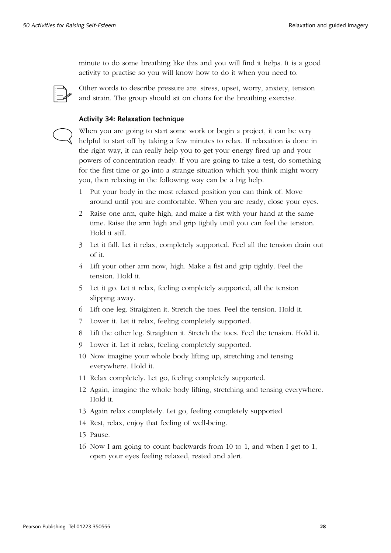minute to do some breathing like this and you will find it helps. It is a good activity to practise so you will know how to do it when you need to.



Other words to describe pressure are: stress, upset, worry, anxiety, tension and strain. The group should sit on chairs for the breathing exercise.

### **Activity 34: Relaxation technique**



When you are going to start some work or begin a project, it can be very helpful to start off by taking a few minutes to relax. If relaxation is done in the right way, it can really help you to get your energy fired up and your powers of concentration ready. If you are going to take a test, do something for the first time or go into a strange situation which you think might worry you, then relaxing in the following way can be a big help.

- 1 Put your body in the most relaxed position you can think of. Move around until you are comfortable. When you are ready, close your eyes.
- 2 Raise one arm, quite high, and make a fist with your hand at the same time. Raise the arm high and grip tightly until you can feel the tension. Hold it still.
- 3 Let it fall. Let it relax, completely supported. Feel all the tension drain out of it.
- 4 Lift your other arm now, high. Make a fist and grip tightly. Feel the tension. Hold it.
- 5 Let it go. Let it relax, feeling completely supported, all the tension slipping away.
- 6 Lift one leg. Straighten it. Stretch the toes. Feel the tension. Hold it.
- 7 Lower it. Let it relax, feeling completely supported.
- 8 Lift the other leg. Straighten it. Stretch the toes. Feel the tension. Hold it.
- 9 Lower it. Let it relax, feeling completely supported.
- 10 Now imagine your whole body lifting up, stretching and tensing everywhere. Hold it.
- 11 Relax completely. Let go, feeling completely supported.
- 12 Again, imagine the whole body lifting, stretching and tensing everywhere. Hold it.
- 13 Again relax completely. Let go, feeling completely supported.
- 14 Rest, relax, enjoy that feeling of well-being.
- 15 Pause.
- 16 Now I am going to count backwards from 10 to 1, and when I get to 1, open your eyes feeling relaxed, rested and alert.